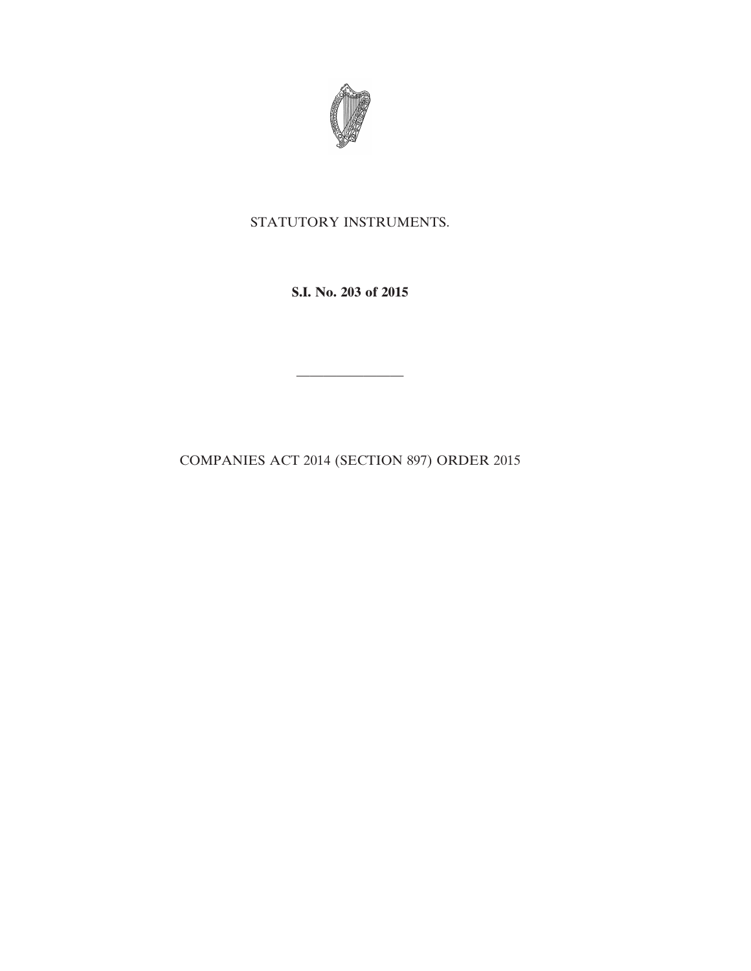

## STATUTORY INSTRUMENTS.

**S.I. No. 203 of 2015**

————————

COMPANIES ACT 2014 (SECTION 897) ORDER 2015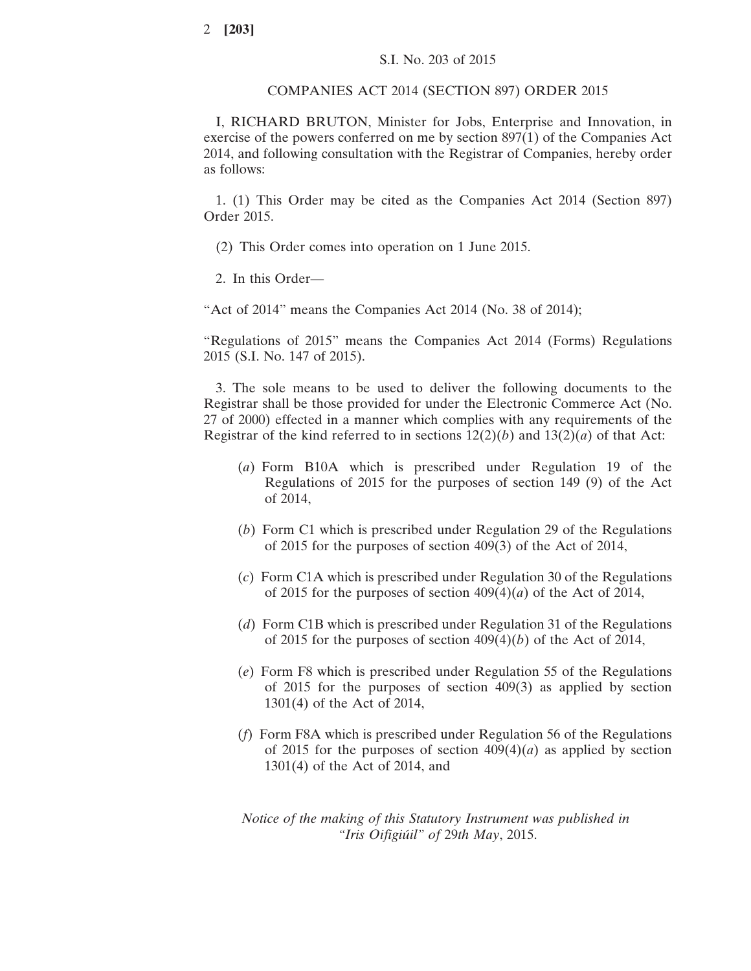## COMPANIES ACT 2014 (SECTION 897) ORDER 2015

I, RICHARD BRUTON, Minister for Jobs, Enterprise and Innovation, in exercise of the powers conferred on me by section 897(1) of the Companies Act 2014, and following consultation with the Registrar of Companies, hereby order as follows:

1. (1) This Order may be cited as the Companies Act 2014 (Section 897) Order 2015.

(2) This Order comes into operation on 1 June 2015.

2. In this Order—

"Act of 2014" means the Companies Act 2014 (No. 38 of 2014);

"Regulations of 2015" means the Companies Act 2014 (Forms) Regulations 2015 (S.I. No. 147 of 2015).

3. The sole means to be used to deliver the following documents to the Registrar shall be those provided for under the Electronic Commerce Act (No. 27 of 2000) effected in a manner which complies with any requirements of the Registrar of the kind referred to in sections  $12(2)(b)$  and  $13(2)(a)$  of that Act:

- (*a*) Form B10A which is prescribed under Regulation 19 of the Regulations of 2015 for the purposes of section 149 (9) of the Act of 2014,
- (*b*) Form C1 which is prescribed under Regulation 29 of the Regulations of 2015 for the purposes of section 409(3) of the Act of 2014,
- (*c*) Form C1A which is prescribed under Regulation 30 of the Regulations of 2015 for the purposes of section 409(4)(*a*) of the Act of 2014,
- (*d*) Form C1B which is prescribed under Regulation 31 of the Regulations of 2015 for the purposes of section 409(4)(*b*) of the Act of 2014,
- (*e*) Form F8 which is prescribed under Regulation 55 of the Regulations of 2015 for the purposes of section 409(3) as applied by section 1301(4) of the Act of 2014,
- (*f*) Form F8A which is prescribed under Regulation 56 of the Regulations of 2015 for the purposes of section  $409(4)(a)$  as applied by section 1301(4) of the Act of 2014, and

*Notice of the making of this Statutory Instrument was published in "Iris Oifigiúil" of* 29*th May*, 2015.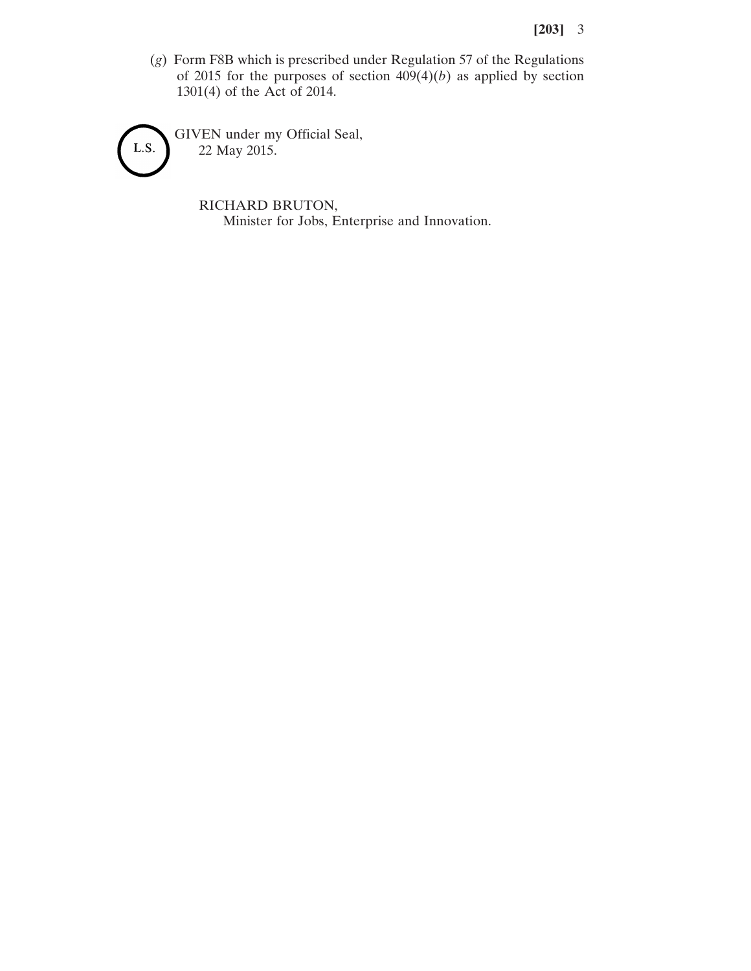(*g*) Form F8B which is prescribed under Regulation 57 of the Regulations of 2015 for the purposes of section  $409(4)(b)$  as applied by section 1301(4) of the Act of 2014.

GIVEN under my Official Seal, L.S. 22 May 2015.

> RICHARD BRUTON, Minister for Jobs, Enterprise and Innovation.